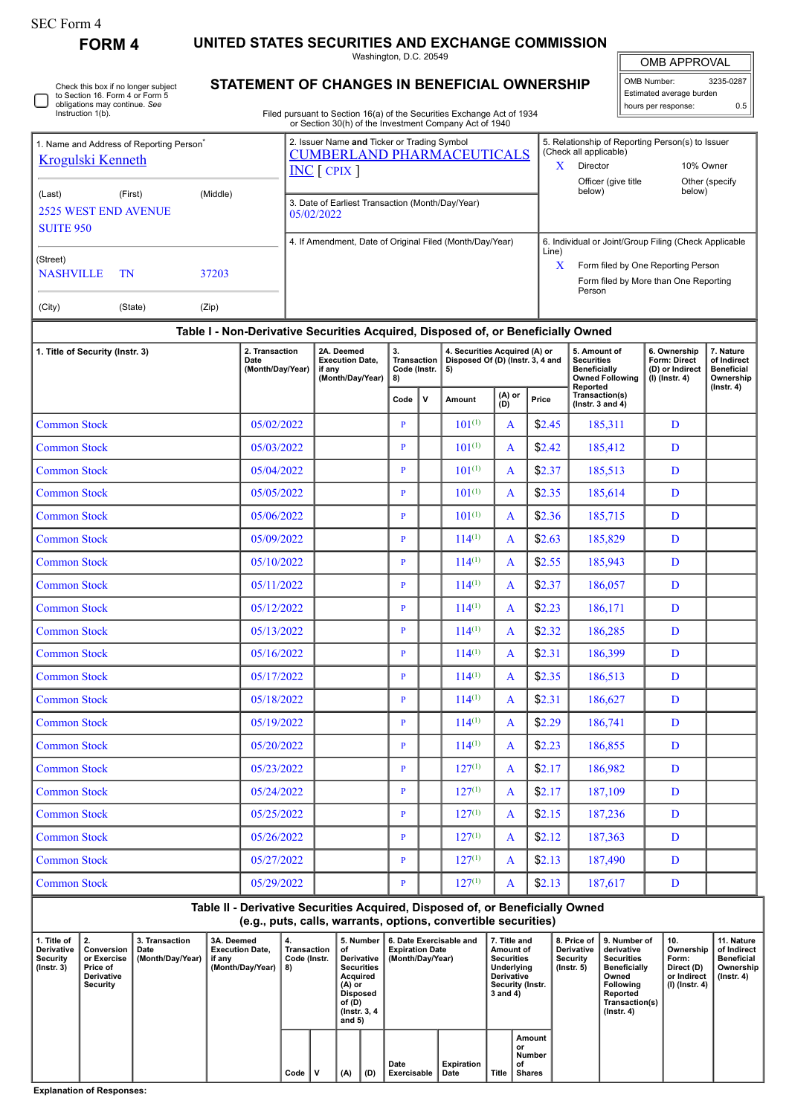| SEC Form 4 |
|------------|
|------------|

ſ

Check this box if no longer subject to Section 16. Form 4 or Form 5 obligations may continue. *See* Instruction 1(b).

**FORM 4 UNITED STATES SECURITIES AND EXCHANGE COMMISSION**

Washington, D.C. 20549

OMB APPROVAL

| OMB Number:              | 3235-0287 |  |  |  |  |  |  |  |  |
|--------------------------|-----------|--|--|--|--|--|--|--|--|
| Estimated average burden |           |  |  |  |  |  |  |  |  |
| hours per response:      | 0.5       |  |  |  |  |  |  |  |  |

Filed pursuant to Section 16(a) of the Securities Exchange Act of 1934 or Section 30(h) of the Investment Company Act of 1940

**STATEMENT OF CHANGES IN BENEFICIAL OWNERSHIP**

| 1. Name and Address of Reporting Person <sup>®</sup> |                                                    |       | 2. Issuer Name and Ticker or Trading Symbol<br><b>CUMBERLAND PHARMACEUTICALS</b> | 5. Relationship of Reporting Person(s) to Issuer<br>(Check all applicable) |                                                                                       |                          |  |  |  |
|------------------------------------------------------|----------------------------------------------------|-------|----------------------------------------------------------------------------------|----------------------------------------------------------------------------|---------------------------------------------------------------------------------------|--------------------------|--|--|--|
| <b>Krogulski Kenneth</b>                             |                                                    |       | $INC$ $[$ CPIX $]$                                                               | X                                                                          | Director                                                                              | 10% Owner                |  |  |  |
| (Last)<br><b>SUITE 950</b>                           | (Middle)<br>(First)<br><b>2525 WEST END AVENUE</b> |       | 3. Date of Earliest Transaction (Month/Day/Year)<br>05/02/2022                   |                                                                            | Officer (give title<br>below)                                                         | Other (specify<br>below) |  |  |  |
|                                                      |                                                    |       | 4. If Amendment, Date of Original Filed (Month/Day/Year)                         | 6. Individual or Joint/Group Filing (Check Applicable                      |                                                                                       |                          |  |  |  |
| (Street)<br><b>NASHVILLE</b><br>37203<br>TN          |                                                    |       |                                                                                  | Line)<br>X                                                                 | Form filed by One Reporting Person<br>Form filed by More than One Reporting<br>Person |                          |  |  |  |
| (City)                                               | (State)                                            | (Zip) |                                                                                  |                                                                            |                                                                                       |                          |  |  |  |
|                                                      |                                                    |       | Table I - Non-Derivative Securities Acquired. Disposed of. or Beneficially Owned |                                                                            |                                                                                       |                          |  |  |  |

## **Table I - Non-Derivative Securities Acquired, Disposed of, or Beneficially Owned**

| 1. Title of Security (Instr. 3) | 2. Transaction<br>Date<br>(Month/Day/Year) | 2A. Deemed<br><b>Execution Date.</b><br>if anv<br>(Month/Day/Year) | 3.<br><b>Transaction</b><br>Code (Instr.<br>8) |  | 4. Securities Acquired (A) or<br>Disposed Of (D) (Instr. 3, 4 and<br>5) |                |        | 5. Amount of<br><b>Securities</b><br><b>Beneficially</b><br><b>Owned Following</b> | 6. Ownership<br>Form: Direct<br>(D) or Indirect<br>$(I)$ (Instr. 4) | 7. Nature<br>of Indirect<br><b>Beneficial</b><br>Ownership<br>$($ Instr. 4 $)$ |
|---------------------------------|--------------------------------------------|--------------------------------------------------------------------|------------------------------------------------|--|-------------------------------------------------------------------------|----------------|--------|------------------------------------------------------------------------------------|---------------------------------------------------------------------|--------------------------------------------------------------------------------|
|                                 |                                            |                                                                    | $\mathbf v$<br>Code                            |  | Amount                                                                  | (A) or<br>(D)  | Price  | Reported<br>Transaction(s)<br>( $lnstr. 3 and 4$ )                                 |                                                                     |                                                                                |
| <b>Common Stock</b>             | 05/02/2022                                 |                                                                    | $\mathbf{P}$                                   |  | $101^{(1)}$                                                             | A              | \$2.45 | 185.311                                                                            | D                                                                   |                                                                                |
| <b>Common Stock</b>             | 05/03/2022                                 |                                                                    | $\mathbf{P}$                                   |  | $101^{(1)}$                                                             | A              | \$2.42 | 185,412                                                                            | D                                                                   |                                                                                |
| <b>Common Stock</b>             | 05/04/2022                                 |                                                                    | P                                              |  | $101^{(1)}$                                                             | $\overline{A}$ | \$2.37 | 185,513                                                                            | D                                                                   |                                                                                |
| <b>Common Stock</b>             | 05/05/2022                                 |                                                                    | P                                              |  | $101^{(1)}$                                                             | $\overline{A}$ | \$2.35 | 185,614                                                                            | D                                                                   |                                                                                |
| <b>Common Stock</b>             | 05/06/2022                                 |                                                                    | $\mathbf{P}$                                   |  | $101^{(1)}$                                                             | $\overline{A}$ | \$2.36 | 185,715                                                                            | D                                                                   |                                                                                |
| <b>Common Stock</b>             | 05/09/2022                                 |                                                                    | $\mathbf{P}$                                   |  | $114^{(1)}$                                                             | A              | \$2.63 | 185,829                                                                            | D                                                                   |                                                                                |
| <b>Common Stock</b>             | 05/10/2022                                 |                                                                    | $\mathbf{P}$                                   |  | $114^{(1)}$                                                             | A              | \$2.55 | 185,943                                                                            | D                                                                   |                                                                                |
| <b>Common Stock</b>             | 05/11/2022                                 |                                                                    | $\mathbf{P}$                                   |  | $114^{(1)}$                                                             | A              | \$2.37 | 186,057                                                                            | D                                                                   |                                                                                |
| <b>Common Stock</b>             | 05/12/2022                                 |                                                                    | P                                              |  | $114^{(1)}$                                                             | A              | \$2.23 | 186,171                                                                            | D                                                                   |                                                                                |
| <b>Common Stock</b>             | 05/13/2022                                 |                                                                    | $\mathbf{P}$                                   |  | $114^{(1)}$                                                             | A              | \$2.32 | 186,285                                                                            | D                                                                   |                                                                                |
| <b>Common Stock</b>             | 05/16/2022                                 |                                                                    | $\mathbf{P}$                                   |  | $114^{(1)}$                                                             | A              | \$2.31 | 186,399                                                                            | D                                                                   |                                                                                |
| <b>Common Stock</b>             | 05/17/2022                                 |                                                                    | $\mathbf{P}$                                   |  | $114^{(1)}$                                                             | A              | \$2.35 | 186,513                                                                            | D                                                                   |                                                                                |
| <b>Common Stock</b>             | 05/18/2022                                 |                                                                    | $\mathbf{P}$                                   |  | $114^{(1)}$                                                             | $\overline{A}$ | \$2.31 | 186,627                                                                            | D                                                                   |                                                                                |
| <b>Common Stock</b>             | 05/19/2022                                 |                                                                    | $\mathbf{P}$                                   |  | $114^{(1)}$                                                             | $\mathsf{A}$   | \$2.29 | 186,741                                                                            | D                                                                   |                                                                                |
| <b>Common Stock</b>             | 05/20/2022                                 |                                                                    | $\mathbf{P}$                                   |  | $114^{(1)}$                                                             | $\mathbf{A}$   | \$2.23 | 186,855                                                                            | D                                                                   |                                                                                |
| <b>Common Stock</b>             | 05/23/2022                                 |                                                                    | $\mathbf{P}$                                   |  | $127^{(1)}$                                                             | A              | \$2.17 | 186,982                                                                            | D                                                                   |                                                                                |
| <b>Common Stock</b>             | 05/24/2022                                 |                                                                    | $\mathbf{P}$                                   |  | $127^{(1)}$                                                             | A              | \$2.17 | 187,109                                                                            | D                                                                   |                                                                                |
| <b>Common Stock</b>             | 05/25/2022                                 |                                                                    | P                                              |  | $127^{(1)}$                                                             | A              | \$2.15 | 187,236                                                                            | D                                                                   |                                                                                |
| <b>Common Stock</b>             | 05/26/2022                                 |                                                                    | $\mathbf{P}$                                   |  | $127^{(1)}$                                                             | A              | \$2.12 | 187,363                                                                            | D                                                                   |                                                                                |
| <b>Common Stock</b>             | 05/27/2022                                 |                                                                    | P                                              |  | $127^{(1)}$                                                             | A              | \$2.13 | 187,490                                                                            | D                                                                   |                                                                                |
| <b>Common Stock</b>             | 05/29/2022                                 |                                                                    | P                                              |  | $127^{(1)}$                                                             | A              | \$2.13 | 187,617                                                                            | D                                                                   |                                                                                |

## **Table II - Derivative Securities Acquired, Disposed of, or Beneficially Owned (e.g., puts, calls, warrants, options, convertible securities)**

| 1. Title of<br><b>Derivative</b><br>Security<br>$($ lnstr. 3 $)$ | Conversion<br>or Exercise<br>Price of<br><b>Derivative</b><br>Security | 3. Transaction<br>Date<br>(Month/Day/Year) | 3A. Deemed<br><b>Execution Date.</b><br>if any<br>(Month/Dav/Year) | 4.<br>Transaction<br>Code (Instr.<br>8) |   | 5. Number<br>οt<br>Derivative<br><b>Securities</b><br><b>Acquired</b><br>(A) or<br>Disposed<br>of (D)<br>(Instr. 3, 4)<br>and 5) |     | 6. Date Exercisable and<br><b>Expiration Date</b><br>(Month/Day/Year) |                    | 7. Title and<br>Amount of<br><b>Securities</b><br>Underlying<br><b>Derivative</b><br>Security (Instr.<br>3 and 4) |                                                | <b>Derivative</b><br>Security<br>$($ lnstr. 5 $)$ | 8. Price of 19. Number of<br>derivative<br><b>Securities</b><br><b>Beneficially</b><br>Owned<br>Following<br>Reported<br>Transaction(s)<br>$($ lnstr. 4 $)$ | 10.<br>Ownership<br>Form:<br>Direct (D)<br>or Indirect<br>(I) (Instr. 4) | 11. Nature<br>of Indirect<br>Beneficial<br>Ownership<br>(Instr. 4) |
|------------------------------------------------------------------|------------------------------------------------------------------------|--------------------------------------------|--------------------------------------------------------------------|-----------------------------------------|---|----------------------------------------------------------------------------------------------------------------------------------|-----|-----------------------------------------------------------------------|--------------------|-------------------------------------------------------------------------------------------------------------------|------------------------------------------------|---------------------------------------------------|-------------------------------------------------------------------------------------------------------------------------------------------------------------|--------------------------------------------------------------------------|--------------------------------------------------------------------|
|                                                                  |                                                                        |                                            |                                                                    | Code                                    | v | (A)                                                                                                                              | (D) | Date<br>Exercisable                                                   | Expiration<br>Date |                                                                                                                   | Amount<br>or<br>Number<br>οf<br>Title   Shares |                                                   |                                                                                                                                                             |                                                                          |                                                                    |